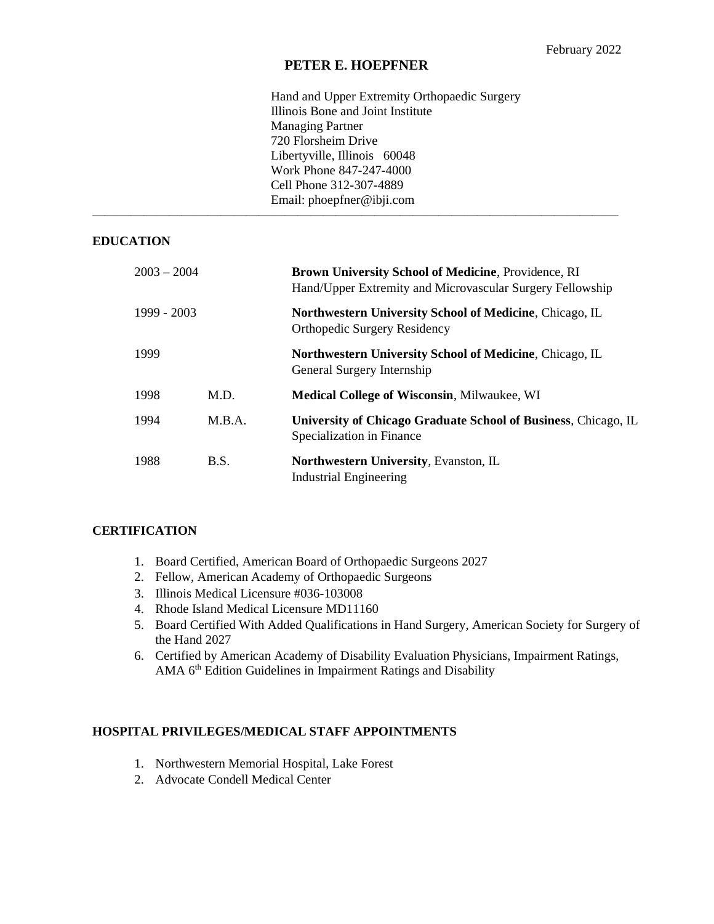# **PETER E. HOEPFNER**

 $\overline{\phantom{a}}$  , and the contract of the contract of the contract of the contract of the contract of the contract of the contract of the contract of the contract of the contract of the contract of the contract of the contrac

Hand and Upper Extremity Orthopaedic Surgery Illinois Bone and Joint Institute Managing Partner 720 Florsheim Drive Libertyville, Illinois 60048 Work Phone 847-247-4000 Cell Phone 312-307-4889 Email: phoepfner@ibji.com

## **EDUCATION**

| $2003 - 2004$ |        | Brown University School of Medicine, Providence, RI<br>Hand/Upper Extremity and Microvascular Surgery Fellowship |
|---------------|--------|------------------------------------------------------------------------------------------------------------------|
| 1999 - 2003   |        | Northwestern University School of Medicine, Chicago, IL<br><b>Orthopedic Surgery Residency</b>                   |
| 1999          |        | Northwestern University School of Medicine, Chicago, IL<br>General Surgery Internship                            |
| 1998          | M.D.   | <b>Medical College of Wisconsin, Milwaukee, WI</b>                                                               |
| 1994          | M.B.A. | University of Chicago Graduate School of Business, Chicago, IL<br>Specialization in Finance                      |
| 1988          | B.S.   | <b>Northwestern University, Evanston, IL</b><br><b>Industrial Engineering</b>                                    |

### **CERTIFICATION**

- 1. Board Certified, American Board of Orthopaedic Surgeons 2027
- 2. Fellow, American Academy of Orthopaedic Surgeons
- 3. Illinois Medical Licensure #036-103008
- 4. Rhode Island Medical Licensure MD11160
- 5. Board Certified With Added Qualifications in Hand Surgery, American Society for Surgery of the Hand 2027
- 6. Certified by American Academy of Disability Evaluation Physicians, Impairment Ratings, AMA 6<sup>th</sup> Edition Guidelines in Impairment Ratings and Disability

# **HOSPITAL PRIVILEGES/MEDICAL STAFF APPOINTMENTS**

- 1. Northwestern Memorial Hospital, Lake Forest
- 2. Advocate Condell Medical Center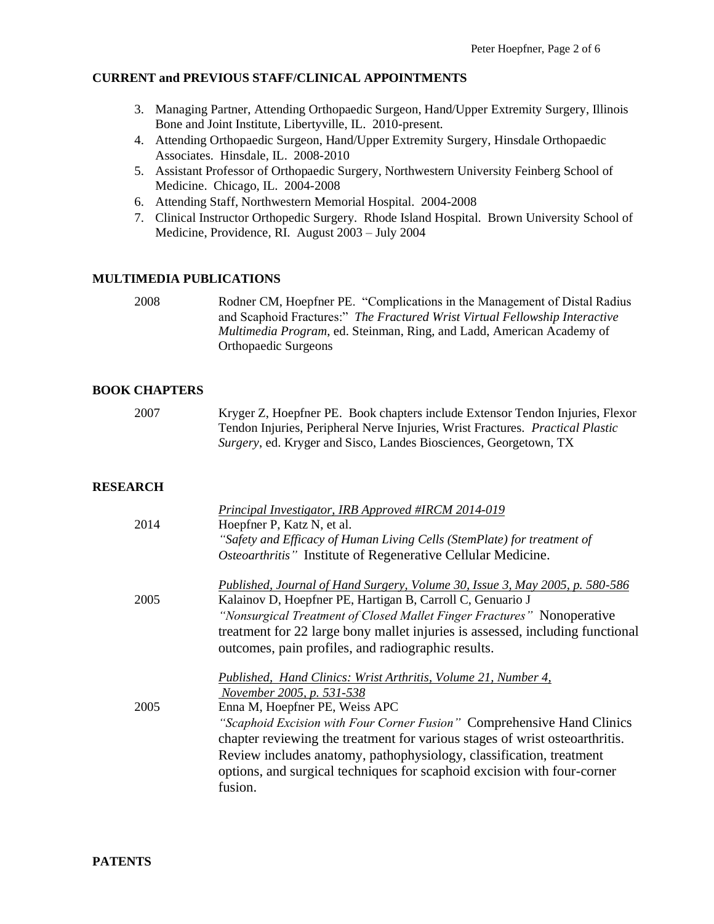# **CURRENT and PREVIOUS STAFF/CLINICAL APPOINTMENTS**

- 3. Managing Partner, Attending Orthopaedic Surgeon, Hand/Upper Extremity Surgery, Illinois Bone and Joint Institute, Libertyville, IL. 2010-present.
- 4. Attending Orthopaedic Surgeon, Hand/Upper Extremity Surgery, Hinsdale Orthopaedic Associates. Hinsdale, IL. 2008-2010
- 5. Assistant Professor of Orthopaedic Surgery, Northwestern University Feinberg School of Medicine. Chicago, IL. 2004-2008
- 6. Attending Staff, Northwestern Memorial Hospital. 2004-2008
- 7. Clinical Instructor Orthopedic Surgery. Rhode Island Hospital. Brown University School of Medicine, Providence, RI. August 2003 – July 2004

## **MULTIMEDIA PUBLICATIONS**

2008 Rodner CM, Hoepfner PE. "Complications in the Management of Distal Radius and Scaphoid Fractures:" *The Fractured Wrist Virtual Fellowship Interactive Multimedia Program*, ed. Steinman, Ring, and Ladd, American Academy of Orthopaedic Surgeons

### **BOOK CHAPTERS**

2007 Kryger Z, Hoepfner PE. Book chapters include Extensor Tendon Injuries, Flexor Tendon Injuries, Peripheral Nerve Injuries, Wrist Fractures. *Practical Plastic Surgery*, ed. Kryger and Sisco, Landes Biosciences, Georgetown, TX

# **RESEARCH**

|      | Principal Investigator, IRB Approved #IRCM 2014-019                                                                                        |
|------|--------------------------------------------------------------------------------------------------------------------------------------------|
| 2014 | Hoepfner P, Katz N, et al.                                                                                                                 |
|      | "Safety and Efficacy of Human Living Cells (StemPlate) for treatment of                                                                    |
|      | Osteoarthritis" Institute of Regenerative Cellular Medicine.                                                                               |
| 2005 | Published, Journal of Hand Surgery, Volume 30, Issue 3, May 2005, p. 580-586<br>Kalainov D, Hoepfner PE, Hartigan B, Carroll C, Genuario J |
|      | "Nonsurgical Treatment of Closed Mallet Finger Fractures" Nonoperative                                                                     |
|      | treatment for 22 large bony mallet injuries is assessed, including functional                                                              |
|      | outcomes, pain profiles, and radiographic results.                                                                                         |
|      | Published, Hand Clinics: Wrist Arthritis, Volume 21, Number 4,                                                                             |
|      | November 2005, p. 531-538                                                                                                                  |
| 2005 | Enna M, Hoepfner PE, Weiss APC                                                                                                             |
|      | "Scaphoid Excision with Four Corner Fusion" Comprehensive Hand Clinics                                                                     |
|      | chapter reviewing the treatment for various stages of wrist osteoarthritis.                                                                |
|      | Review includes anatomy, pathophysiology, classification, treatment                                                                        |
|      | options, and surgical techniques for scaphoid excision with four-corner                                                                    |
|      | fusion.                                                                                                                                    |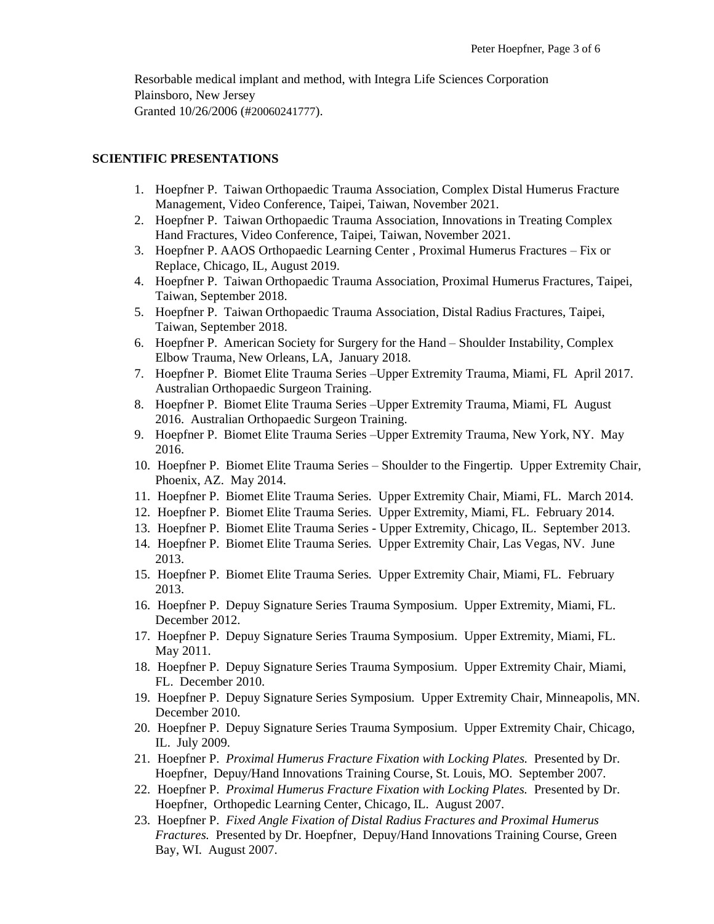Resorbable medical implant and method, with Integra Life Sciences Corporation Plainsboro, New Jersey Granted 10/26/2006 (#20060241777).

#### **SCIENTIFIC PRESENTATIONS**

- 1. Hoepfner P. Taiwan Orthopaedic Trauma Association, Complex Distal Humerus Fracture Management, Video Conference, Taipei, Taiwan, November 2021.
- 2. Hoepfner P. Taiwan Orthopaedic Trauma Association, Innovations in Treating Complex Hand Fractures, Video Conference, Taipei, Taiwan, November 2021.
- 3. Hoepfner P. AAOS Orthopaedic Learning Center , Proximal Humerus Fractures Fix or Replace, Chicago, IL, August 2019.
- 4. Hoepfner P. Taiwan Orthopaedic Trauma Association, Proximal Humerus Fractures, Taipei, Taiwan, September 2018.
- 5. Hoepfner P. Taiwan Orthopaedic Trauma Association, Distal Radius Fractures, Taipei, Taiwan, September 2018.
- 6. Hoepfner P. American Society for Surgery for the Hand Shoulder Instability, Complex Elbow Trauma, New Orleans, LA, January 2018.
- 7. Hoepfner P. Biomet Elite Trauma Series –Upper Extremity Trauma, Miami, FL April 2017. Australian Orthopaedic Surgeon Training.
- 8. Hoepfner P. Biomet Elite Trauma Series –Upper Extremity Trauma, Miami, FL August 2016. Australian Orthopaedic Surgeon Training.
- 9. Hoepfner P. Biomet Elite Trauma Series –Upper Extremity Trauma, New York, NY. May 2016.
- 10. Hoepfner P. Biomet Elite Trauma Series Shoulder to the Fingertip*.* Upper Extremity Chair, Phoenix, AZ. May 2014.
- 11. Hoepfner P. Biomet Elite Trauma Series*.* Upper Extremity Chair, Miami, FL. March 2014.
- 12. Hoepfner P. Biomet Elite Trauma Series*.* Upper Extremity, Miami, FL. February 2014.
- 13. Hoepfner P. Biomet Elite Trauma Series Upper Extremity, Chicago, IL. September 2013.
- 14. Hoepfner P. Biomet Elite Trauma Series*.* Upper Extremity Chair, Las Vegas, NV. June 2013.
- 15. Hoepfner P. Biomet Elite Trauma Series*.* Upper Extremity Chair, Miami, FL. February 2013.
- 16. Hoepfner P. Depuy Signature Series Trauma Symposium*.* Upper Extremity, Miami, FL. December 2012.
- 17. Hoepfner P. Depuy Signature Series Trauma Symposium*.* Upper Extremity, Miami, FL. May 2011.
- 18. Hoepfner P. Depuy Signature Series Trauma Symposium*.* Upper Extremity Chair, Miami, FL. December 2010.
- 19. Hoepfner P. Depuy Signature Series Symposium*.* Upper Extremity Chair, Minneapolis, MN. December 2010.
- 20. Hoepfner P. Depuy Signature Series Trauma Symposium*.* Upper Extremity Chair, Chicago, IL. July 2009.
- 21. Hoepfner P. *Proximal Humerus Fracture Fixation with Locking Plates.* Presented by Dr. Hoepfner, Depuy/Hand Innovations Training Course, St. Louis, MO. September 2007.
- 22. Hoepfner P. *Proximal Humerus Fracture Fixation with Locking Plates.* Presented by Dr. Hoepfner, Orthopedic Learning Center, Chicago, IL. August 2007.
- 23. Hoepfner P. *Fixed Angle Fixation of Distal Radius Fractures and Proximal Humerus Fractures.* Presented by Dr. Hoepfner, Depuy/Hand Innovations Training Course, Green Bay, WI. August 2007.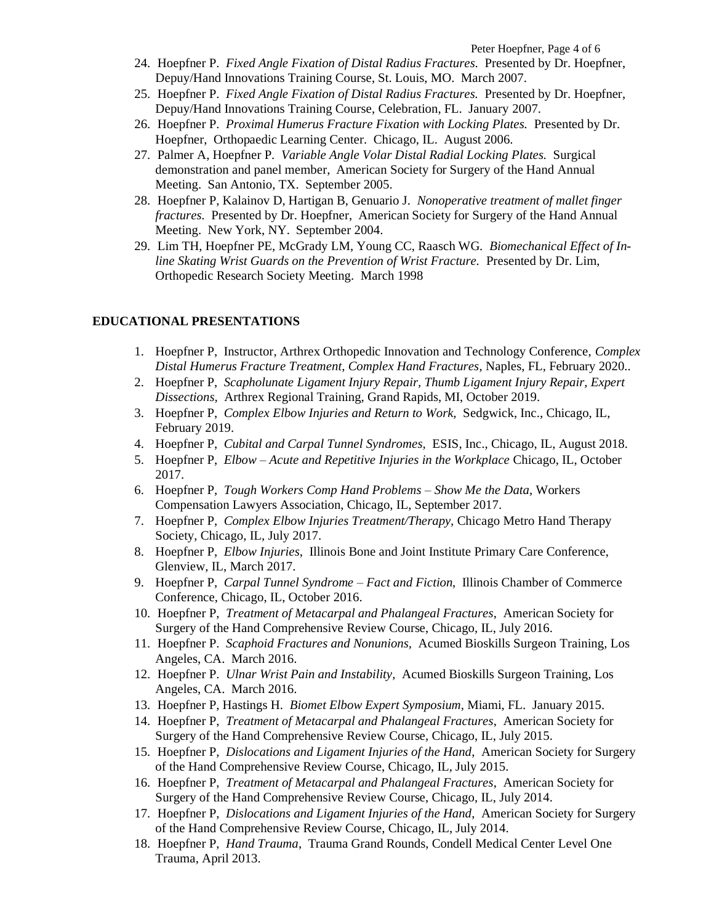- 24. Hoepfner P. *Fixed Angle Fixation of Distal Radius Fractures.* Presented by Dr. Hoepfner, Depuy/Hand Innovations Training Course, St. Louis, MO. March 2007.
- 25. Hoepfner P. *Fixed Angle Fixation of Distal Radius Fractures.* Presented by Dr. Hoepfner, Depuy/Hand Innovations Training Course, Celebration, FL. January 2007.
- 26. Hoepfner P. *Proximal Humerus Fracture Fixation with Locking Plates.* Presented by Dr. Hoepfner, Orthopaedic Learning Center. Chicago, IL. August 2006.
- 27. Palmer A, Hoepfner P. *Variable Angle Volar Distal Radial Locking Plates.* Surgical demonstration and panel member, American Society for Surgery of the Hand Annual Meeting. San Antonio, TX. September 2005.
- 28. Hoepfner P, Kalainov D, Hartigan B, Genuario J. *Nonoperative treatment of mallet finger fractures.* Presented by Dr. Hoepfner, American Society for Surgery of the Hand Annual Meeting. New York, NY. September 2004.
- 29. Lim TH, Hoepfner PE, McGrady LM, Young CC, Raasch WG. *Biomechanical Effect of Inline Skating Wrist Guards on the Prevention of Wrist Fracture.* Presented by Dr. Lim, Orthopedic Research Society Meeting. March 1998

### **EDUCATIONAL PRESENTATIONS**

- 1. Hoepfner P, Instructor, Arthrex Orthopedic Innovation and Technology Conference, *Complex Distal Humerus Fracture Treatment, Complex Hand Fractures*, Naples, FL, February 2020..
- 2. Hoepfner P, *Scapholunate Ligament Injury Repair, Thumb Ligament Injury Repair, Expert Dissections,* Arthrex Regional Training, Grand Rapids, MI, October 2019.
- 3. Hoepfner P, *Complex Elbow Injuries and Return to Work,* Sedgwick, Inc., Chicago, IL, February 2019.
- 4. Hoepfner P, *Cubital and Carpal Tunnel Syndromes,* ESIS, Inc., Chicago, IL, August 2018.
- 5. Hoepfner P, *Elbow – Acute and Repetitive Injuries in the Workplace* Chicago, IL, October 2017.
- 6. Hoepfner P, *Tough Workers Comp Hand Problems – Show Me the Data,* Workers Compensation Lawyers Association, Chicago, IL, September 2017.
- 7. Hoepfner P, *Complex Elbow Injuries Treatment/Therapy,* Chicago Metro Hand Therapy Society, Chicago, IL, July 2017.
- 8. Hoepfner P, *Elbow Injuries*, Illinois Bone and Joint Institute Primary Care Conference, Glenview, IL, March 2017.
- 9. Hoepfner P, *Carpal Tunnel Syndrome – Fact and Fiction*, Illinois Chamber of Commerce Conference, Chicago, IL, October 2016.
- 10. Hoepfner P, *Treatment of Metacarpal and Phalangeal Fractures*, American Society for Surgery of the Hand Comprehensive Review Course, Chicago, IL, July 2016.
- 11. Hoepfner P. *Scaphoid Fractures and Nonunions,* Acumed Bioskills Surgeon Training*,* Los Angeles, CA. March 2016.
- 12. Hoepfner P. *Ulnar Wrist Pain and Instability,* Acumed Bioskills Surgeon Training*,* Los Angeles, CA. March 2016.
- 13. Hoepfner P, Hastings H. *Biomet Elbow Expert Symposium,* Miami, FL. January 2015.
- 14. Hoepfner P, *Treatment of Metacarpal and Phalangeal Fractures*, American Society for Surgery of the Hand Comprehensive Review Course, Chicago, IL, July 2015.
- 15. Hoepfner P, *Dislocations and Ligament Injuries of the Hand*, American Society for Surgery of the Hand Comprehensive Review Course, Chicago, IL, July 2015.
- 16. Hoepfner P, *Treatment of Metacarpal and Phalangeal Fractures*, American Society for Surgery of the Hand Comprehensive Review Course, Chicago, IL, July 2014.
- 17. Hoepfner P, *Dislocations and Ligament Injuries of the Hand*, American Society for Surgery of the Hand Comprehensive Review Course, Chicago, IL, July 2014.
- 18. Hoepfner P, *Hand Trauma*, Trauma Grand Rounds, Condell Medical Center Level One Trauma, April 2013.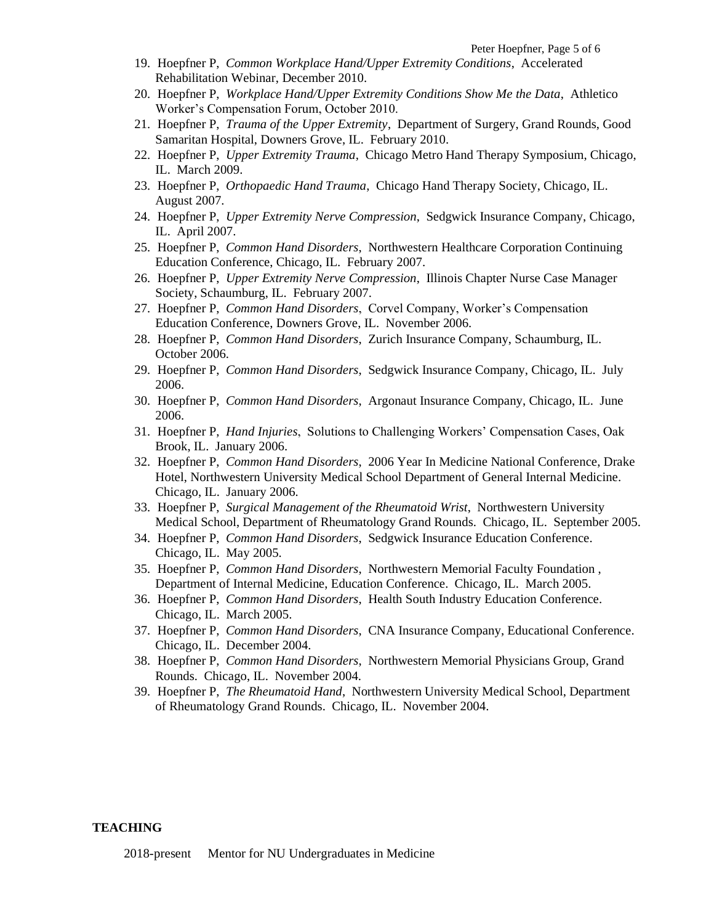- 19. Hoepfner P, *Common Workplace Hand/Upper Extremity Conditions*, Accelerated Rehabilitation Webinar, December 2010.
- 20. Hoepfner P, *Workplace Hand/Upper Extremity Conditions Show Me the Data*, Athletico Worker's Compensation Forum, October 2010.
- 21. Hoepfner P, *Trauma of the Upper Extremity*, Department of Surgery, Grand Rounds, Good Samaritan Hospital, Downers Grove, IL. February 2010.
- 22. Hoepfner P, *Upper Extremity Trauma*, Chicago Metro Hand Therapy Symposium, Chicago, IL. March 2009.
- 23. Hoepfner P, *Orthopaedic Hand Trauma*, Chicago Hand Therapy Society, Chicago, IL. August 2007.
- 24. Hoepfner P, *Upper Extremity Nerve Compression*, Sedgwick Insurance Company, Chicago, IL. April 2007.
- 25. Hoepfner P, *Common Hand Disorders*, Northwestern Healthcare Corporation Continuing Education Conference, Chicago, IL. February 2007.
- 26. Hoepfner P, *Upper Extremity Nerve Compression*, Illinois Chapter Nurse Case Manager Society, Schaumburg, IL. February 2007.
- 27. Hoepfner P, *Common Hand Disorders*, Corvel Company, Worker's Compensation Education Conference, Downers Grove, IL. November 2006.
- 28. Hoepfner P, *Common Hand Disorders*, Zurich Insurance Company, Schaumburg, IL. October 2006.
- 29. Hoepfner P, *Common Hand Disorders*, Sedgwick Insurance Company, Chicago, IL. July 2006.
- 30. Hoepfner P, *Common Hand Disorders*, Argonaut Insurance Company, Chicago, IL. June 2006.
- 31. Hoepfner P, *Hand Injuries*, Solutions to Challenging Workers' Compensation Cases, Oak Brook, IL. January 2006.
- 32. Hoepfner P, *Common Hand Disorders*, 2006 Year In Medicine National Conference, Drake Hotel, Northwestern University Medical School Department of General Internal Medicine. Chicago, IL. January 2006.
- 33. Hoepfner P, *Surgical Management of the Rheumatoid Wrist*, Northwestern University Medical School, Department of Rheumatology Grand Rounds. Chicago, IL. September 2005.
- 34. Hoepfner P, *Common Hand Disorders*, Sedgwick Insurance Education Conference. Chicago, IL. May 2005.
- 35. Hoepfner P, *Common Hand Disorders*, Northwestern Memorial Faculty Foundation , Department of Internal Medicine, Education Conference. Chicago, IL. March 2005.
- 36. Hoepfner P, *Common Hand Disorders*, Health South Industry Education Conference. Chicago, IL. March 2005.
- 37. Hoepfner P, *Common Hand Disorders*, CNA Insurance Company, Educational Conference. Chicago, IL. December 2004.
- 38. Hoepfner P, *Common Hand Disorders*, Northwestern Memorial Physicians Group, Grand Rounds. Chicago, IL. November 2004.
- 39. Hoepfner P, *The Rheumatoid Hand*, Northwestern University Medical School, Department of Rheumatology Grand Rounds. Chicago, IL. November 2004.

#### **TEACHING**